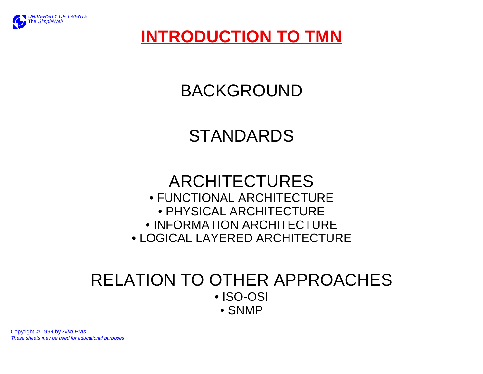

# **INTRODUCTION TO TMN**

# BACKGROUND

# STANDARDS

## ARCHITECTURES• FUNCTIONAL ARCHITECTURE • PHYSICAL ARCHITECTURE• INFORMATION ARCHITECTURE • LOGICAL LAYERED ARCHITECTURE

## RELATION TO OTHER APPROACHES• ISO-OSI • SNMP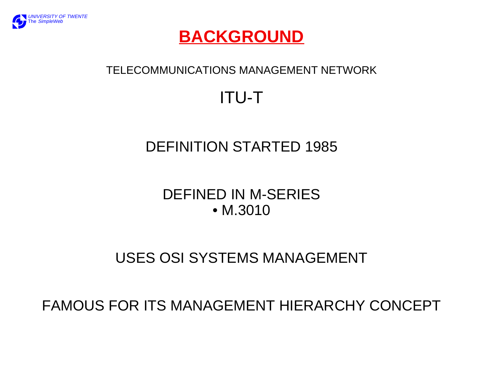

## **BACKGROUND**

### TELECOMMUNICATIONS MANAGEMENT NETWORK

# ITU-T

# DEFINITION STARTED 1985

## DEFINED IN M-SERIES • M.3010

# USES OSI SYSTEMS MANAGEMENT

FAMOUS FOR ITS MANAGEMENT HIERARCHY CONCEPT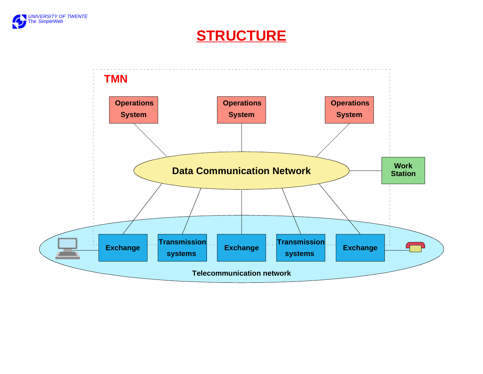

### **STRUCTURE**

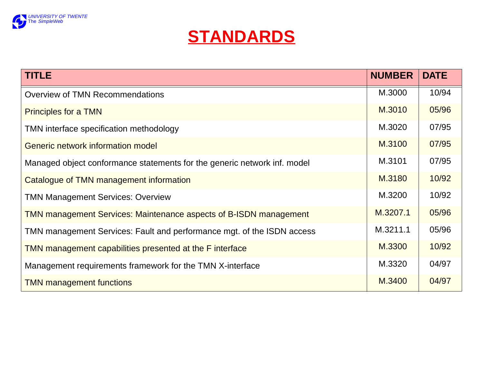



| <b>TITLE</b>                                                             | <b>NUMBER</b> | <b>DATE</b> |
|--------------------------------------------------------------------------|---------------|-------------|
| <b>Overview of TMN Recommendations</b>                                   | M.3000        | 10/94       |
| <b>Principles for a TMN</b>                                              | M.3010        | 05/96       |
| TMN interface specification methodology                                  | M.3020        | 07/95       |
| Generic network information model                                        | M.3100        | 07/95       |
| Managed object conformance statements for the generic network inf. model | M.3101        | 07/95       |
| Catalogue of TMN management information                                  | M.3180        | 10/92       |
| <b>TMN Management Services: Overview</b>                                 | M.3200        | 10/92       |
| <b>TMN management Services: Maintenance aspects of B-ISDN management</b> | M.3207.1      | 05/96       |
| TMN management Services: Fault and performance mgt. of the ISDN access   | M.3211.1      | 05/96       |
| TMN management capabilities presented at the F interface                 | M.3300        | 10/92       |
| Management requirements framework for the TMN X-interface                | M.3320        | 04/97       |
| <b>TMN management functions</b>                                          | M.3400        | 04/97       |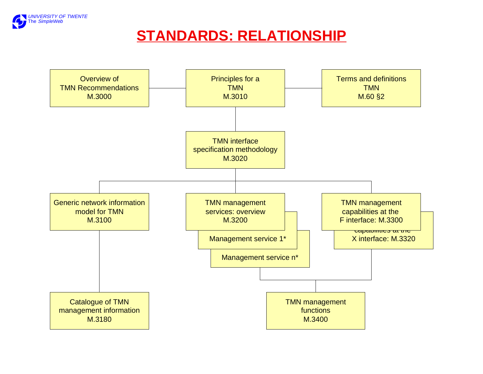

## **STANDARDS: RELATIONSHIP**

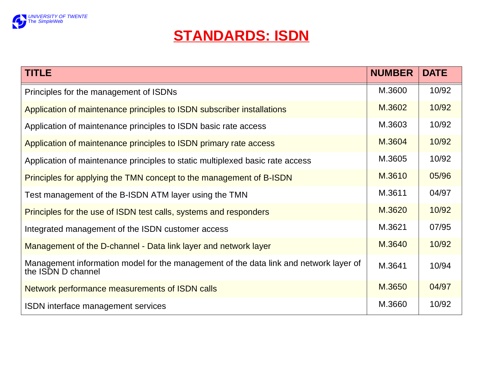

## **STANDARDS: ISDN**

| <b>TITLE</b>                                                                                                | <b>NUMBER</b> | <b>DATE</b> |
|-------------------------------------------------------------------------------------------------------------|---------------|-------------|
| Principles for the management of ISDNs                                                                      | M.3600        | 10/92       |
| Application of maintenance principles to ISDN subscriber installations                                      | M.3602        | 10/92       |
| Application of maintenance principles to ISDN basic rate access                                             | M.3603        | 10/92       |
| Application of maintenance principles to ISDN primary rate access                                           | M.3604        | 10/92       |
| Application of maintenance principles to static multiplexed basic rate access                               | M.3605        | 10/92       |
| Principles for applying the TMN concept to the management of B-ISDN                                         | M.3610        | 05/96       |
| Test management of the B-ISDN ATM layer using the TMN                                                       | M.3611        | 04/97       |
| Principles for the use of ISDN test calls, systems and responders                                           | M.3620        | 10/92       |
| Integrated management of the ISDN customer access                                                           | M.3621        | 07/95       |
| Management of the D-channel - Data link layer and network layer                                             | M.3640        | 10/92       |
| Management information model for the management of the data link and network layer of<br>the ISDN D channel | M.3641        | 10/94       |
| Network performance measurements of ISDN calls                                                              | M.3650        | 04/97       |
| ISDN interface management services                                                                          | M.3660        | 10/92       |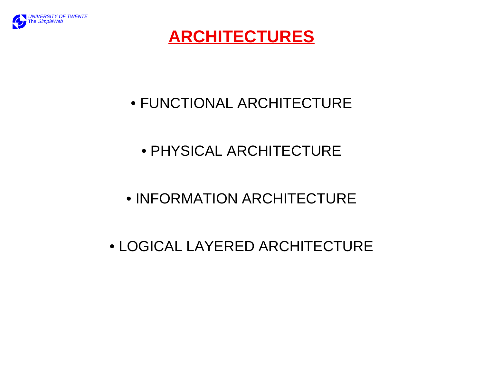

# **ARCHITECTURES**

# • FUNCTIONAL ARCHITECTURE

# • PHYSICAL ARCHITECTURE

# • INFORMATION ARCHITECTURE

# • LOGICAL LAYERED ARCHITECTURE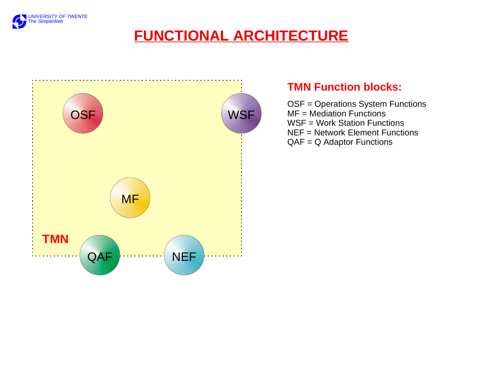

## **FUNCTIONAL ARCHITECTURE**



### **TMN Function blocks:**

OSF = Operations System Functions MF = Mediation FunctionsWSF = Work Station FunctionsNEF = Network Element FunctionsQAF = Q Adaptor Functions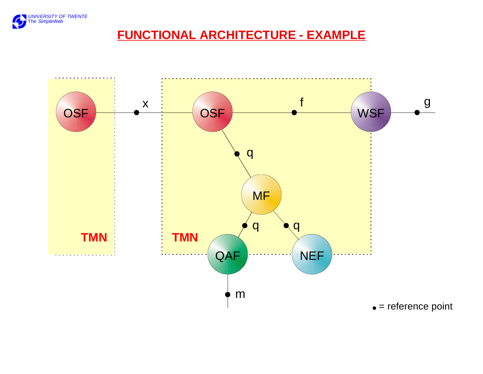

### **FUNCTIONAL ARCHITECTURE - EXAMPLE**

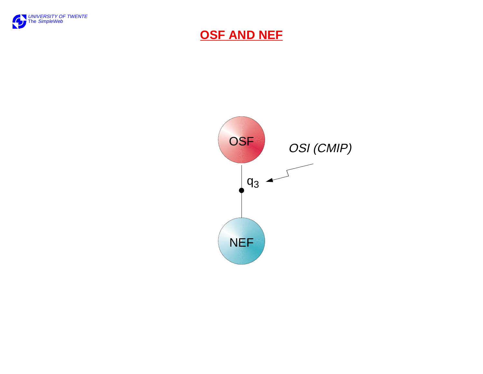

#### **OSF AND NEF**

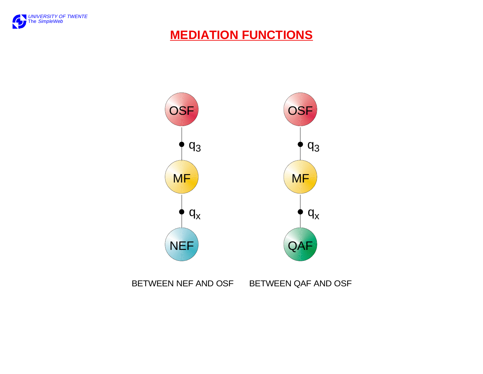

### **MEDIATION FUNCTIONS**



BETWEEN NEF AND OSF BETWEEN QAF AND OSF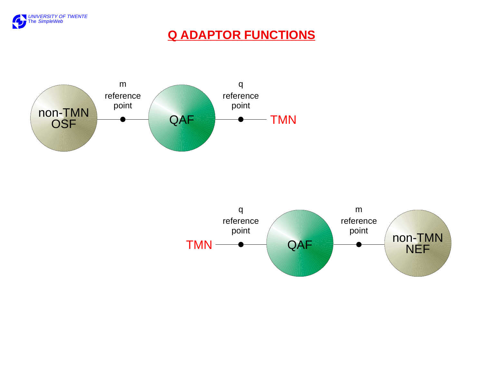

### **Q ADAPTOR FUNCTIONS**



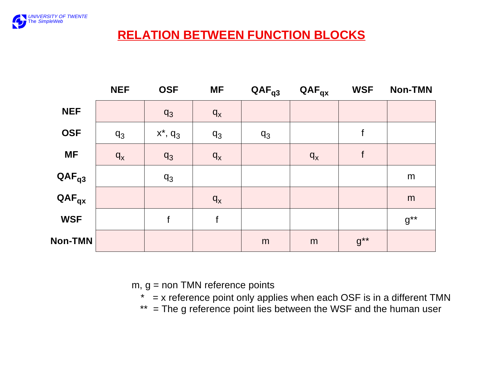

### **RELATION BETWEEN FUNCTION BLOCKS**

|                                       | <b>NEF</b> | <b>OSF</b>    | <b>MF</b> | $QAF_{q3}$  | $QAF_{qx}$ | <b>WSF</b>  | <b>Non-TMN</b>   |
|---------------------------------------|------------|---------------|-----------|-------------|------------|-------------|------------------|
| <b>NEF</b>                            |            | $q_3$         | $q_{x}$   |             |            |             |                  |
| <b>OSF</b>                            | $q_3$      | $x^*$ , $q_3$ | $q_3$     | $q_3$       |            | f           |                  |
| <b>MF</b>                             | $q_{x}$    | $q_3$         | $q_{x}$   |             | $q_{x}$    | $\mathsf f$ |                  |
| $QAF_{q3}$                            |            | $q_3$         |           |             |            |             | m                |
| $\mathsf{QAF}_{\mathsf{q}\mathsf{x}}$ |            |               | $q_{x}$   |             |            |             | m                |
| <b>WSF</b>                            |            | f             | f         |             |            |             | $g^{\star\star}$ |
| <b>Non-TMN</b>                        |            |               |           | $\mathsf m$ | m          | $g^{**}$    |                  |

 $m, g =$  non TMN reference points

 $*$  = x reference point only applies when each OSF is in a different TMN

\*\* = The g reference point lies between the WSF and the human user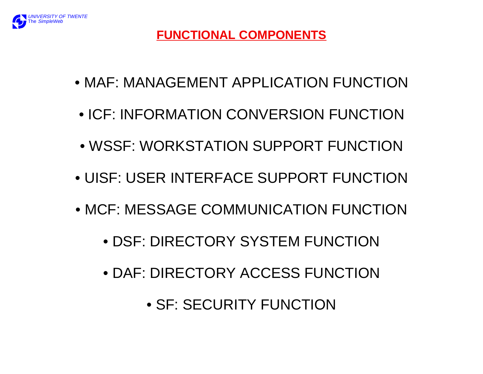

- MAF: MANAGEMENT APPLICATION FUNCTION
- ICF: INFORMATION CONVERSION FUNCTION
- WSSF: WORKSTATION SUPPORT FUNCTION
- UISF: USER INTERFACE SUPPORT FUNCTION
- MCF: MESSAGE COMMUNICATION FUNCTION
	- DSF: DIRECTORY SYSTEM FUNCTION
	- DAF: DIRECTORY ACCESS FUNCTION
		- SF: SECURITY FUNCTION

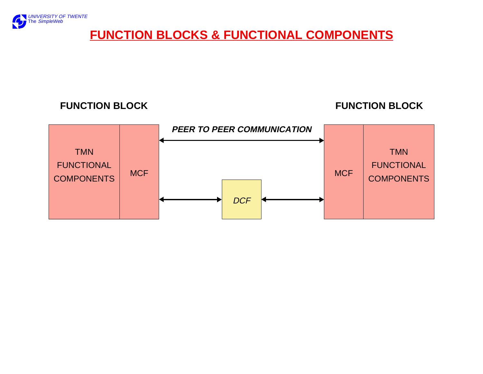

### **FUNCTION BLOCKS & FUNCTIONAL COMPONENTS**

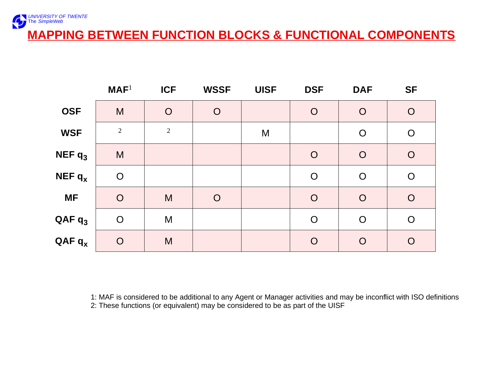

|             | MAF <sup>1</sup> | <b>ICF</b>     | <b>WSSF</b>    | <b>UISF</b> | <b>DSF</b>     | <b>DAF</b>     | <b>SF</b>      |
|-------------|------------------|----------------|----------------|-------------|----------------|----------------|----------------|
| <b>OSF</b>  | M                | $\overline{O}$ | $\overline{O}$ |             | $\overline{O}$ | $\overline{O}$ | $\overline{O}$ |
| <b>WSF</b>  | 2                | $\sqrt{2}$     |                | M           |                | $\overline{O}$ | $\overline{O}$ |
| NEF $q_3$   | M                |                |                |             | $\overline{O}$ | $\overline{O}$ | $\overline{O}$ |
| NEF $q_{x}$ | $\overline{O}$   |                |                |             | $\overline{O}$ | $\overline{O}$ | $\bigcirc$     |
| <b>MF</b>   | $\overline{O}$   | M              | $\overline{O}$ |             | $\overline{O}$ | $\overline{O}$ | $\overline{O}$ |
| $QAF q_3$   | $\overline{O}$   | M              |                |             | $\overline{O}$ | $\overline{O}$ | $\overline{O}$ |
| $QAF q_x$   | $\overline{O}$   | M              |                |             | $\overline{O}$ | $\overline{O}$ | $\overline{O}$ |

1: MAF is considered to be additional to any Agent or Manager activities and may be inconflict with ISO definitions 2: These functions (or equivalent) may be considered to be as part of the UISF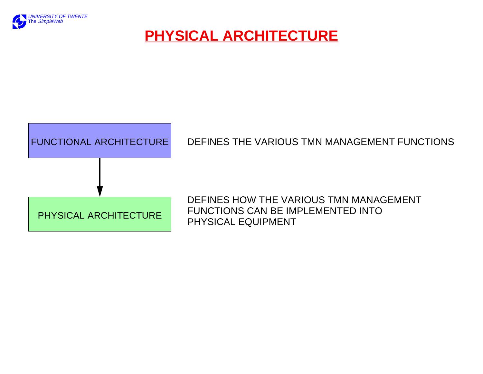

## **PHYSICAL ARCHITECTURE**



#### DEFINES THE VARIOUS TMN MANAGEMENT FUNCTIONS

DEFINES HOW THE VARIOUS TMN MANAGEMENTFUNCTIONS CAN BE IMPLEMENTED INTO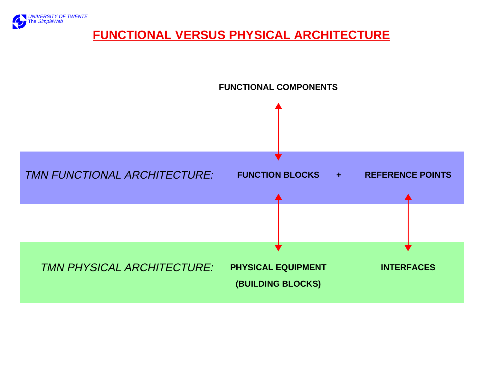

### **FUNCTIONAL VERSUS PHYSICAL ARCHITECTURE**

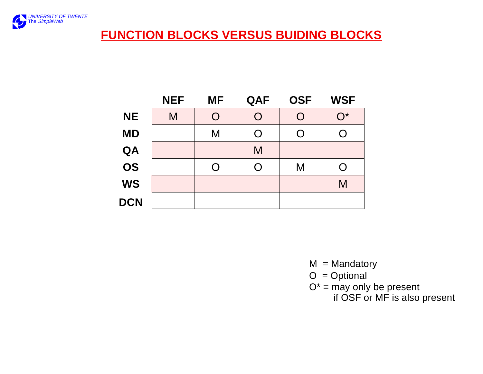

### **FUNCTION BLOCKS VERSUS BUIDING BLOCKS**

|            | <b>NEF</b> | <b>MF</b> | QAF | <b>OSF</b> | <b>WSF</b>         |
|------------|------------|-----------|-----|------------|--------------------|
| <b>NE</b>  | M          | O         | O   | O          | $\overline{O}{}^*$ |
| <b>MD</b>  |            | M         | O   |            | O                  |
| QA         |            |           | M   |            |                    |
| OS         |            | O         | O   | M          | O                  |
| <b>WS</b>  |            |           |     |            | M                  |
| <b>DCN</b> |            |           |     |            |                    |

- $M =$ Mandatory
- $O = Optional$
- $\mathsf{O}^*$  = may only be present

if OSF or MF is also present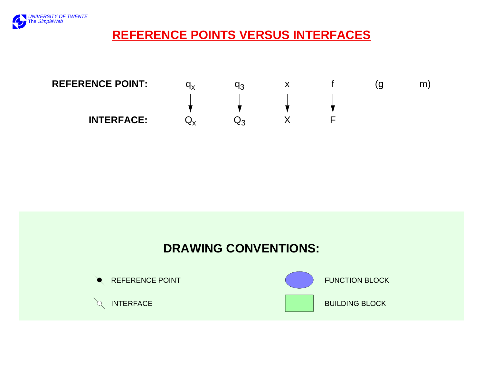

### **REFERENCE POINTS VERSUS INTERFACES**





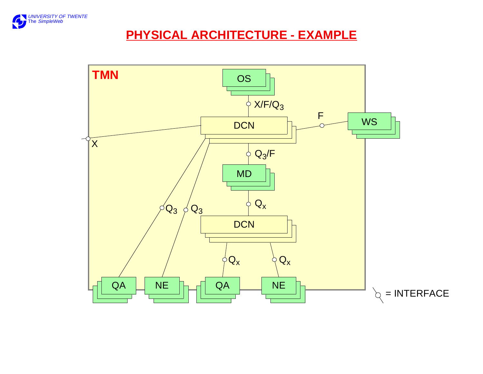

### **PHYSICAL ARCHITECTURE - EXAMPLE**

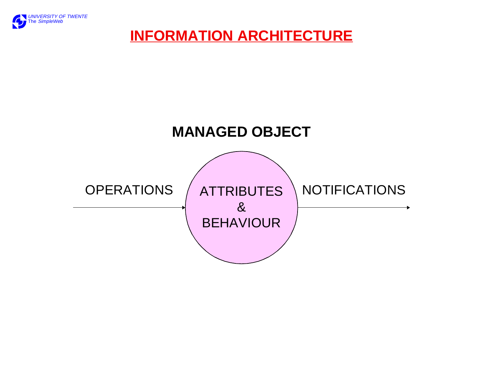

## **INFORMATION ARCHITECTURE**

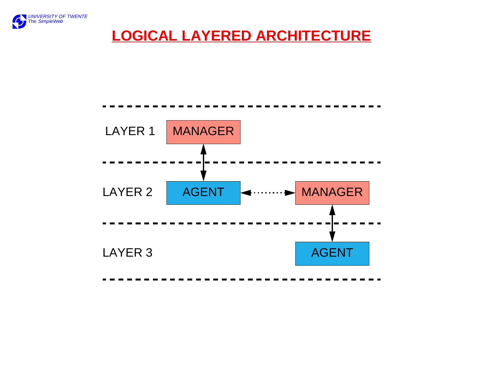

## **LOGICAL LAYERED ARCHITECTURE**

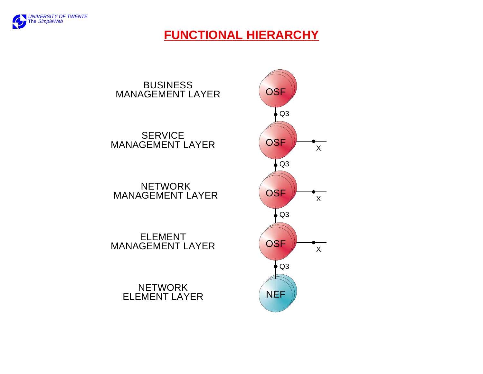

### **FUNCTIONAL HIERARCHY**

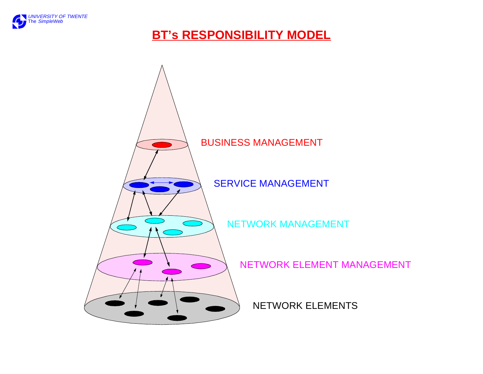

### **BT's RESPONSIBILITY MODEL**

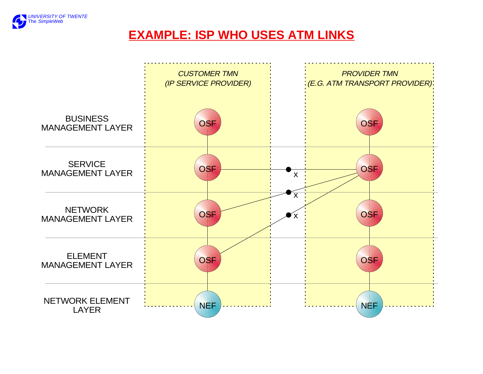

### **EXAMPLE: ISP WHO USES ATM LINKS**

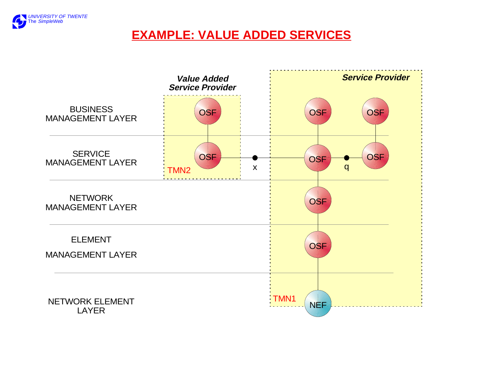

### **EXAMPLE: VALUE ADDED SERVICES**

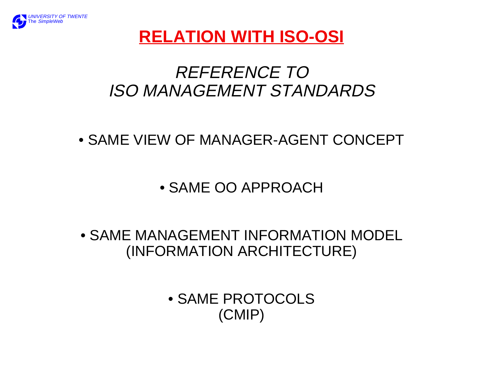

# **RELATION WITH ISO-OSI**

# REFERENCE TOISO MANAGEMENT STANDARDS

- SAME VIEW OF MANAGER-AGENT CONCEPT
	- SAME OO APPROACH

• SAME MANAGEMENT INFORMATION MODEL(INFORMATION ARCHITECTURE)

> • SAME PROTOCOLS(CMIP)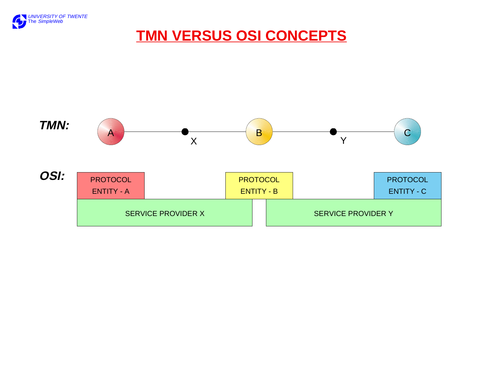

## **TMN VERSUS OSI CONCEPTS**

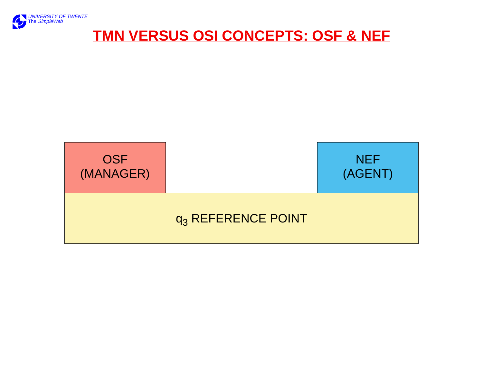

## **TMN VERSUS OSI CONCEPTS: OSF & NEF**